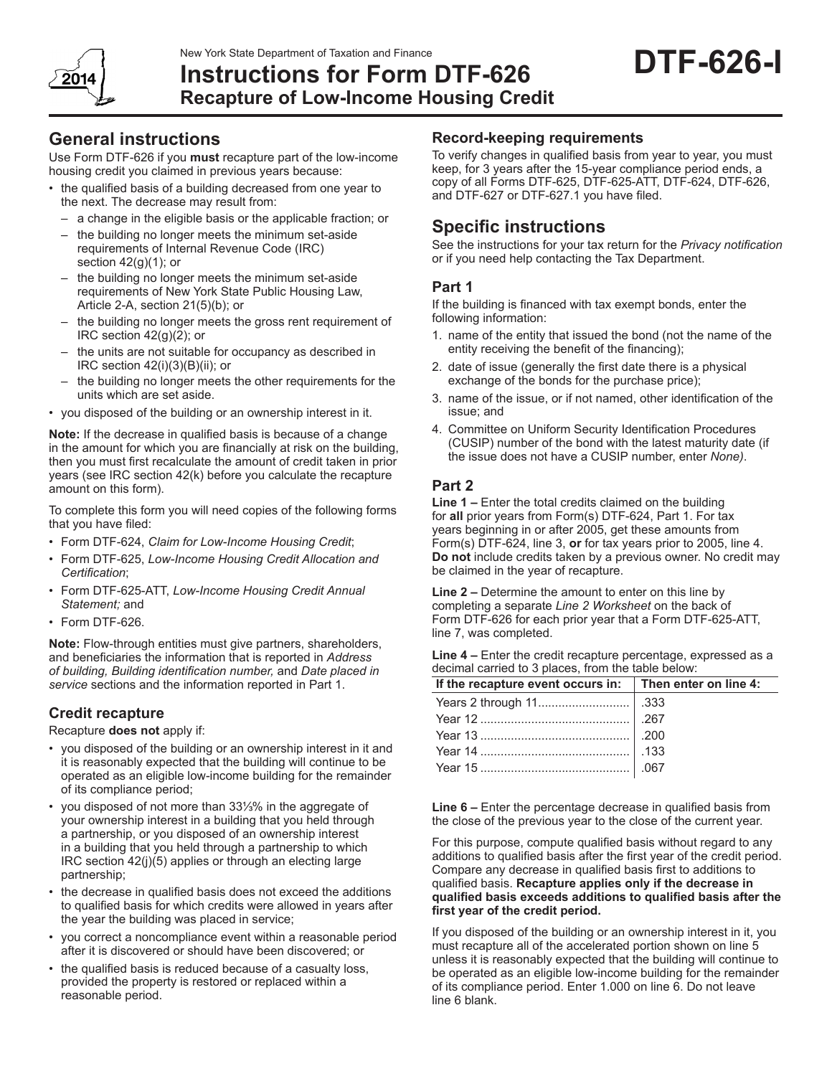New York State Department of Taxation and Finance



# **Instructions for Form DTF-626 Recapture of Low-Income Housing Credit**

### **General instructions**

Use Form DTF-626 if you **must** recapture part of the low-income housing credit you claimed in previous years because:

- the qualified basis of a building decreased from one year to the next. The decrease may result from:
	- a change in the eligible basis or the applicable fraction; or
	- the building no longer meets the minimum set-aside requirements of Internal Revenue Code (IRC) section 42(g)(1); or
	- the building no longer meets the minimum set-aside requirements of New York State Public Housing Law, Article 2-A, section 21(5)(b); or
	- the building no longer meets the gross rent requirement of IRC section 42(g)(2); or
	- the units are not suitable for occupancy as described in IRC section 42(i)(3)(B)(ii); or
	- the building no longer meets the other requirements for the units which are set aside.
- • you disposed of the building or an ownership interest in it.

**Note:** If the decrease in qualified basis is because of a change in the amount for which you are financially at risk on the building, then you must first recalculate the amount of credit taken in prior years (see IRC section 42(k) before you calculate the recapture amount on this form).

To complete this form you will need copies of the following forms that you have filed:

- • Form DTF-624, *Claim for Low-Income Housing Credit*;
- Form DTF-625, Low-Income Housing Credit Allocation and *Certification*;
- Form DTF-625-ATT, Low-Income Housing Credit Annual *Statement;* and
- Form DTF-626.

**Note:** Flow-through entities must give partners, shareholders, and beneficiaries the information that is reported in *Address of building, Building identification number,* and *Date placed in service* sections and the information reported in Part 1.

### **Credit recapture**

Recapture **does not** apply if:

- you disposed of the building or an ownership interest in it and it is reasonably expected that the building will continue to be operated as an eligible low-income building for the remainder of its compliance period;
- • you disposed of not more than 33⅓% in the aggregate of your ownership interest in a building that you held through a partnership, or you disposed of an ownership interest in a building that you held through a partnership to which IRC section 42(j)(5) applies or through an electing large partnership;
- the decrease in qualified basis does not exceed the additions to qualified basis for which credits were allowed in years after the year the building was placed in service;
- • you correct a noncompliance event within a reasonable period after it is discovered or should have been discovered; or
- the qualified basis is reduced because of a casualty loss, provided the property is restored or replaced within a reasonable period.

### **Record-keeping requirements**

To verify changes in qualified basis from year to year, you must keep, for 3 years after the 15-year compliance period ends, a copy of all Forms DTF-625, DTF-625-ATT, DTF-624, DTF-626, and DTF-627 or DTF‑627.1 you have filed.

## **Specific instructions**

See the instructions for your tax return for the *Privacy notification* or if you need help contacting the Tax Department.

### **Part 1**

If the building is financed with tax exempt bonds, enter the following information:

- 1. name of the entity that issued the bond (not the name of the entity receiving the benefit of the financing);
- 2. date of issue (generally the first date there is a physical exchange of the bonds for the purchase price);
- 3. name of the issue, or if not named, other identification of the issue; and
- 4. Committee on Uniform Security Identification Procedures (CUSIP) number of the bond with the latest maturity date (if the issue does not have a CUSIP number, enter *None)*.

### **Part 2**

**Line 1 –** Enter the total credits claimed on the building for **all** prior years from Form(s) DTF-624, Part 1. For tax years beginning in or after 2005, get these amounts from Form(s) DTF-624, line 3, **or** for tax years prior to 2005, line 4. **Do not** include credits taken by a previous owner. No credit may be claimed in the year of recapture.

**Line 2 –** Determine the amount to enter on this line by completing a separate *Line 2 Worksheet* on the back of Form DTF-626 for each prior year that a Form DTF-625-ATT, line 7, was completed.

**Line 4 –** Enter the credit recapture percentage, expressed as a decimal carried to 3 places, from the table below:

| If the recapture event occurs in: $\vert$ Then enter on line 4:   |  |
|-------------------------------------------------------------------|--|
|                                                                   |  |
|                                                                   |  |
|                                                                   |  |
|                                                                   |  |
| Year 13<br>Year 14<br>Year 14<br>Year 15<br>Year 15<br>Correct 15 |  |

**Line 6 –** Enter the percentage decrease in qualified basis from the close of the previous year to the close of the current year.

For this purpose, compute qualified basis without regard to any additions to qualified basis after the first year of the credit period. Compare any decrease in qualified basis first to additions to qualified basis. **Recapture applies only if the decrease in qualified basis exceeds additions to qualified basis after the first year of the credit period.**

If you disposed of the building or an ownership interest in it, you must recapture all of the accelerated portion shown on line 5 unless it is reasonably expected that the building will continue to be operated as an eligible low-income building for the remainder of its compliance period. Enter 1.000 on line 6. Do not leave line 6 blank.